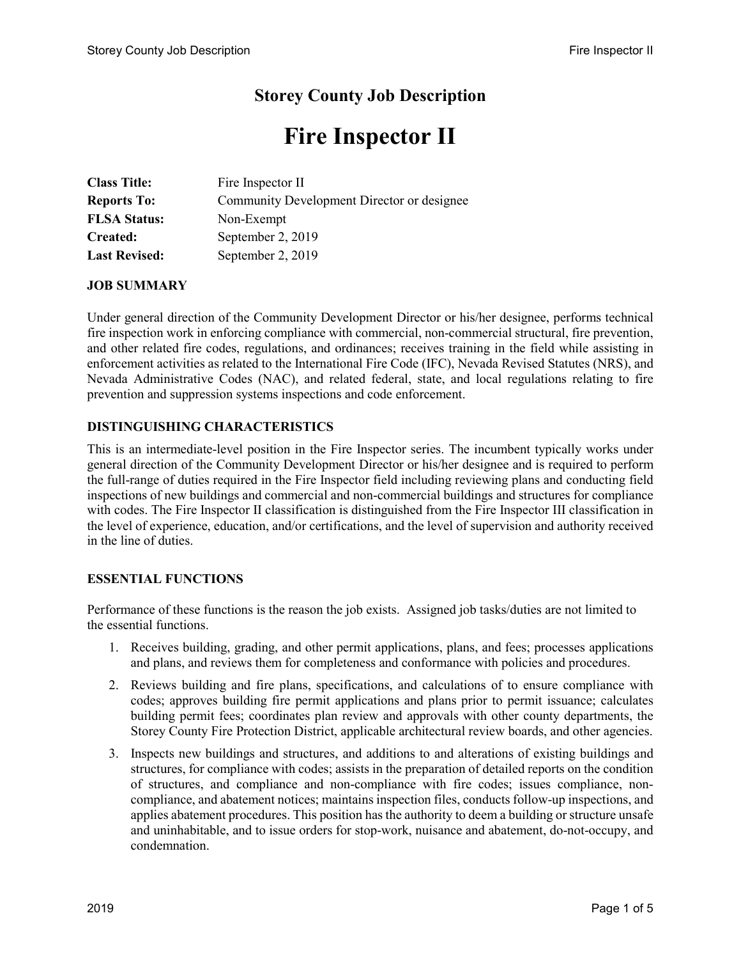# **Storey County Job Description**

# **Fire Inspector II**

| <b>Class Title:</b>  | Fire Inspector II                          |
|----------------------|--------------------------------------------|
| <b>Reports To:</b>   | Community Development Director or designee |
| <b>FLSA Status:</b>  | Non-Exempt                                 |
| Created:             | September 2, 2019                          |
| <b>Last Revised:</b> | September 2, 2019                          |

#### **JOB SUMMARY**

Under general direction of the Community Development Director or his/her designee, performs technical fire inspection work in enforcing compliance with commercial, non-commercial structural, fire prevention, and other related fire codes, regulations, and ordinances; receives training in the field while assisting in enforcement activities as related to the International Fire Code (IFC), Nevada Revised Statutes (NRS), and Nevada Administrative Codes (NAC), and related federal, state, and local regulations relating to fire prevention and suppression systems inspections and code enforcement.

# **DISTINGUISHING CHARACTERISTICS**

This is an intermediate-level position in the Fire Inspector series. The incumbent typically works under general direction of the Community Development Director or his/her designee and is required to perform the full-range of duties required in the Fire Inspector field including reviewing plans and conducting field inspections of new buildings and commercial and non-commercial buildings and structures for compliance with codes. The Fire Inspector II classification is distinguished from the Fire Inspector III classification in the level of experience, education, and/or certifications, and the level of supervision and authority received in the line of duties.

# **ESSENTIAL FUNCTIONS**

Performance of these functions is the reason the job exists. Assigned job tasks/duties are not limited to the essential functions.

- 1. Receives building, grading, and other permit applications, plans, and fees; processes applications and plans, and reviews them for completeness and conformance with policies and procedures.
- 2. Reviews building and fire plans, specifications, and calculations of to ensure compliance with codes; approves building fire permit applications and plans prior to permit issuance; calculates building permit fees; coordinates plan review and approvals with other county departments, the Storey County Fire Protection District, applicable architectural review boards, and other agencies.
- 3. Inspects new buildings and structures, and additions to and alterations of existing buildings and structures, for compliance with codes; assists in the preparation of detailed reports on the condition of structures, and compliance and non-compliance with fire codes; issues compliance, noncompliance, and abatement notices; maintains inspection files, conducts follow-up inspections, and applies abatement procedures. This position has the authority to deem a building or structure unsafe and uninhabitable, and to issue orders for stop-work, nuisance and abatement, do-not-occupy, and condemnation.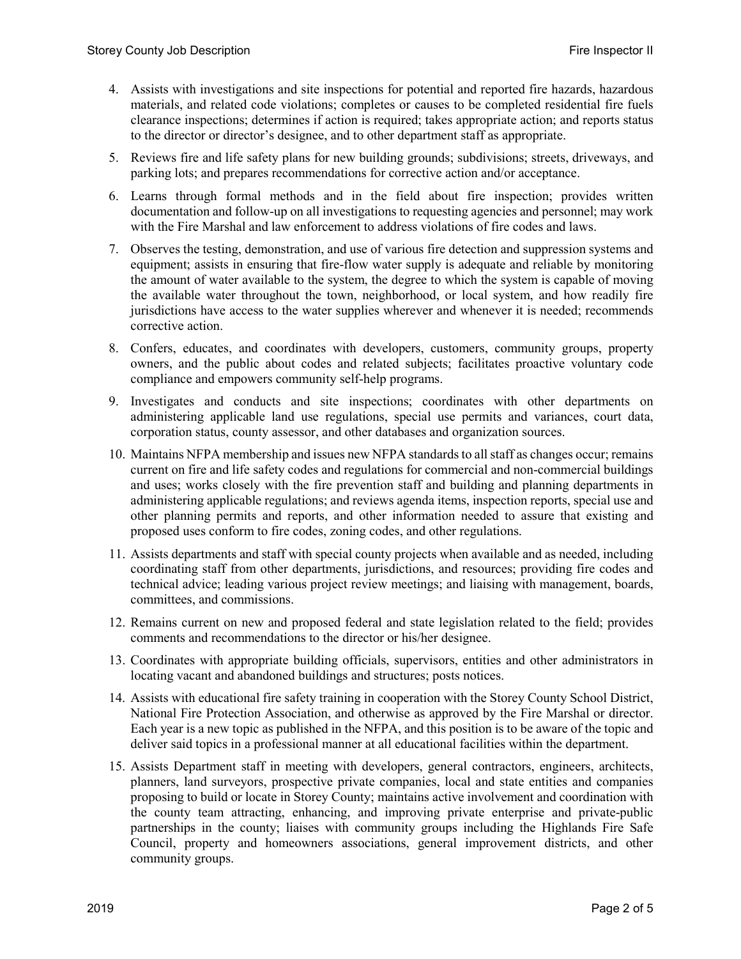- 4. Assists with investigations and site inspections for potential and reported fire hazards, hazardous materials, and related code violations; completes or causes to be completed residential fire fuels clearance inspections; determines if action is required; takes appropriate action; and reports status to the director or director's designee, and to other department staff as appropriate.
- 5. Reviews fire and life safety plans for new building grounds; subdivisions; streets, driveways, and parking lots; and prepares recommendations for corrective action and/or acceptance.
- 6. Learns through formal methods and in the field about fire inspection; provides written documentation and follow-up on all investigations to requesting agencies and personnel; may work with the Fire Marshal and law enforcement to address violations of fire codes and laws.
- 7. Observes the testing, demonstration, and use of various fire detection and suppression systems and equipment; assists in ensuring that fire-flow water supply is adequate and reliable by monitoring the amount of water available to the system, the degree to which the system is capable of moving the available water throughout the town, neighborhood, or local system, and how readily fire jurisdictions have access to the water supplies wherever and whenever it is needed; recommends corrective action.
- 8. Confers, educates, and coordinates with developers, customers, community groups, property owners, and the public about codes and related subjects; facilitates proactive voluntary code compliance and empowers community self-help programs.
- 9. Investigates and conducts and site inspections; coordinates with other departments on administering applicable land use regulations, special use permits and variances, court data, corporation status, county assessor, and other databases and organization sources.
- 10. Maintains NFPA membership and issues new NFPA standards to all staff as changes occur; remains current on fire and life safety codes and regulations for commercial and non-commercial buildings and uses; works closely with the fire prevention staff and building and planning departments in administering applicable regulations; and reviews agenda items, inspection reports, special use and other planning permits and reports, and other information needed to assure that existing and proposed uses conform to fire codes, zoning codes, and other regulations.
- 11. Assists departments and staff with special county projects when available and as needed, including coordinating staff from other departments, jurisdictions, and resources; providing fire codes and technical advice; leading various project review meetings; and liaising with management, boards, committees, and commissions.
- 12. Remains current on new and proposed federal and state legislation related to the field; provides comments and recommendations to the director or his/her designee.
- 13. Coordinates with appropriate building officials, supervisors, entities and other administrators in locating vacant and abandoned buildings and structures; posts notices.
- 14. Assists with educational fire safety training in cooperation with the Storey County School District, National Fire Protection Association, and otherwise as approved by the Fire Marshal or director. Each year is a new topic as published in the NFPA, and this position is to be aware of the topic and deliver said topics in a professional manner at all educational facilities within the department.
- 15. Assists Department staff in meeting with developers, general contractors, engineers, architects, planners, land surveyors, prospective private companies, local and state entities and companies proposing to build or locate in Storey County; maintains active involvement and coordination with the county team attracting, enhancing, and improving private enterprise and private-public partnerships in the county; liaises with community groups including the Highlands Fire Safe Council, property and homeowners associations, general improvement districts, and other community groups.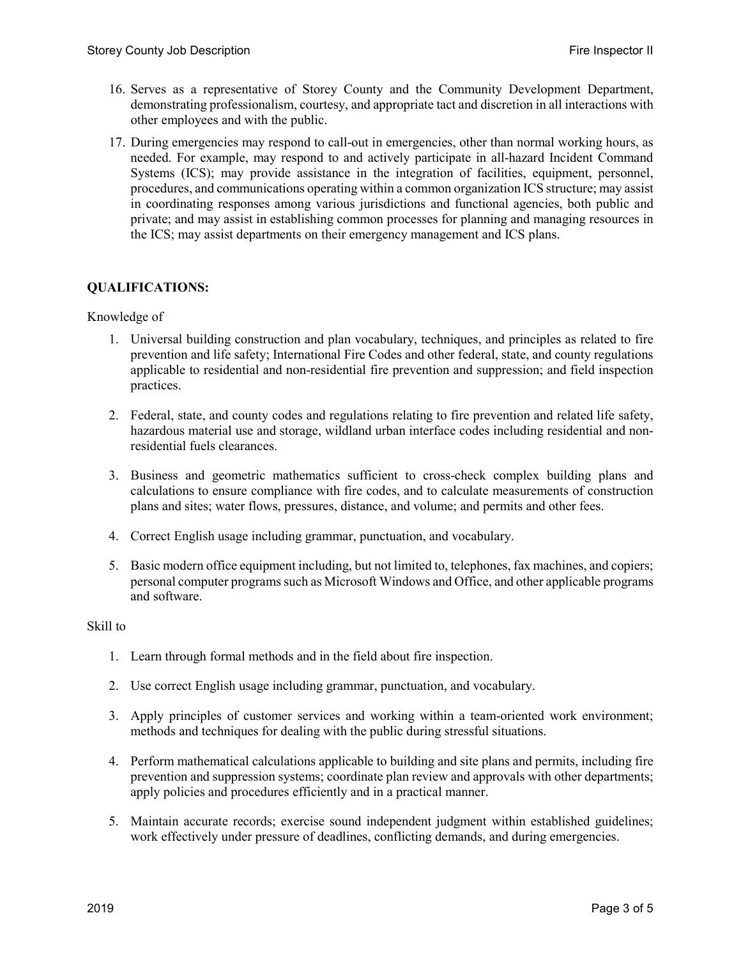- 16. Serves as a representative of Storey County and the Community Development Department, demonstrating professionalism, courtesy, and appropriate tact and discretion in all interactions with other employees and with the public.
- 17. During emergencies may respond to call-out in emergencies, other than normal working hours, as needed. For example, may respond to and actively participate in all-hazard Incident Command Systems (ICS); may provide assistance in the integration of facilities, equipment, personnel, procedures, and communications operating within a common organization ICS structure; may assist in coordinating responses among various jurisdictions and functional agencies, both public and private; and may assist in establishing common processes for planning and managing resources in the ICS; may assist departments on their emergency management and ICS plans.

# **QUALIFICATIONS:**

#### Knowledge of

- 1. Universal building construction and plan vocabulary, techniques, and principles as related to fire prevention and life safety; International Fire Codes and other federal, state, and county regulations applicable to residential and non-residential fire prevention and suppression; and field inspection practices.
- 2. Federal, state, and county codes and regulations relating to fire prevention and related life safety, hazardous material use and storage, wildland urban interface codes including residential and nonresidential fuels clearances.
- 3. Business and geometric mathematics sufficient to cross-check complex building plans and calculations to ensure compliance with fire codes, and to calculate measurements of construction plans and sites; water flows, pressures, distance, and volume; and permits and other fees.
- 4. Correct English usage including grammar, punctuation, and vocabulary.
- 5. Basic modern office equipment including, but not limited to, telephones, fax machines, and copiers; personal computer programs such as Microsoft Windows and Office, and other applicable programs and software.

#### Skill to

- 1. Learn through formal methods and in the field about fire inspection.
- 2. Use correct English usage including grammar, punctuation, and vocabulary.
- 3. Apply principles of customer services and working within a team-oriented work environment; methods and techniques for dealing with the public during stressful situations.
- 4. Perform mathematical calculations applicable to building and site plans and permits, including fire prevention and suppression systems; coordinate plan review and approvals with other departments; apply policies and procedures efficiently and in a practical manner.
- 5. Maintain accurate records; exercise sound independent judgment within established guidelines; work effectively under pressure of deadlines, conflicting demands, and during emergencies.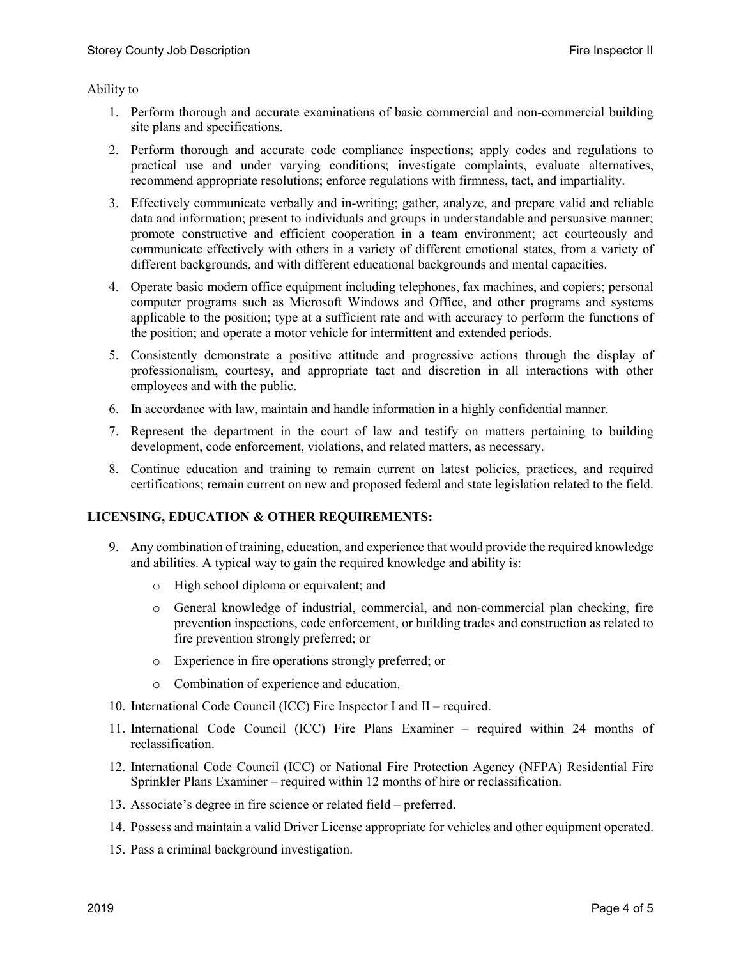Ability to

- 1. Perform thorough and accurate examinations of basic commercial and non-commercial building site plans and specifications.
- 2. Perform thorough and accurate code compliance inspections; apply codes and regulations to practical use and under varying conditions; investigate complaints, evaluate alternatives, recommend appropriate resolutions; enforce regulations with firmness, tact, and impartiality.
- 3. Effectively communicate verbally and in-writing; gather, analyze, and prepare valid and reliable data and information; present to individuals and groups in understandable and persuasive manner; promote constructive and efficient cooperation in a team environment; act courteously and communicate effectively with others in a variety of different emotional states, from a variety of different backgrounds, and with different educational backgrounds and mental capacities.
- 4. Operate basic modern office equipment including telephones, fax machines, and copiers; personal computer programs such as Microsoft Windows and Office, and other programs and systems applicable to the position; type at a sufficient rate and with accuracy to perform the functions of the position; and operate a motor vehicle for intermittent and extended periods.
- 5. Consistently demonstrate a positive attitude and progressive actions through the display of professionalism, courtesy, and appropriate tact and discretion in all interactions with other employees and with the public.
- 6. In accordance with law, maintain and handle information in a highly confidential manner.
- 7. Represent the department in the court of law and testify on matters pertaining to building development, code enforcement, violations, and related matters, as necessary.
- 8. Continue education and training to remain current on latest policies, practices, and required certifications; remain current on new and proposed federal and state legislation related to the field.

# **LICENSING, EDUCATION & OTHER REQUIREMENTS:**

- 9. Any combination of training, education, and experience that would provide the required knowledge and abilities. A typical way to gain the required knowledge and ability is:
	- o High school diploma or equivalent; and
	- o General knowledge of industrial, commercial, and non-commercial plan checking, fire prevention inspections, code enforcement, or building trades and construction as related to fire prevention strongly preferred; or
	- o Experience in fire operations strongly preferred; or
	- o Combination of experience and education.
- 10. International Code Council (ICC) Fire Inspector I and II required.
- 11. International Code Council (ICC) Fire Plans Examiner required within 24 months of reclassification.
- 12. International Code Council (ICC) or National Fire Protection Agency (NFPA) Residential Fire Sprinkler Plans Examiner – required within 12 months of hire or reclassification.
- 13. Associate's degree in fire science or related field preferred.
- 14. Possess and maintain a valid Driver License appropriate for vehicles and other equipment operated.
- 15. Pass a criminal background investigation.